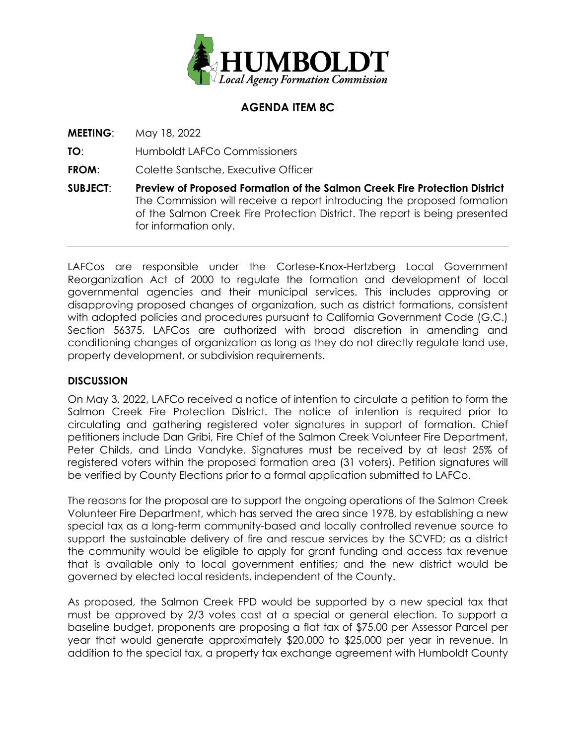

## **AGENDA ITEM 8C**

**MEETING**: May 18, 2022

**TO**: Humboldt LAFCo Commissioners

**FROM:** Colette Santsche, Executive Officer

**SUBJECT**: **Preview of Proposed Formation of the Salmon Creek Fire Protection District** The Commission will receive a report introducing the proposed formation of the Salmon Creek Fire Protection District. The report is being presented for information only.

LAFCos are responsible under the Cortese-Knox-Hertzberg Local Government Reorganization Act of 2000 to regulate the formation and development of local governmental agencies and their municipal services. This includes approving or disapproving proposed changes of organization, such as district formations, consistent with adopted policies and procedures pursuant to California Government Code (G.C.) Section 56375. LAFCos are authorized with broad discretion in amending and conditioning changes of organization as long as they do not directly regulate land use, property development, or subdivision requirements.

## **DISCUSSION**

On May 3, 2022, LAFCo received a notice of intention to circulate a petition to form the Salmon Creek Fire Protection District. The notice of intention is required prior to circulating and gathering registered voter signatures in support of formation. Chief petitioners include Dan Gribi, Fire Chief of the Salmon Creek Volunteer Fire Department, Peter Childs, and Linda Vandyke. Signatures must be received by at least 25% of registered voters within the proposed formation area (31 voters). Petition signatures will be verified by County Elections prior to a formal application submitted to LAFCo.

The reasons for the proposal are to support the ongoing operations of the Salmon Creek Volunteer Fire Department, which has served the area since 1978, by establishing a new special tax as a long-term community-based and locally controlled revenue source to support the sustainable delivery of fire and rescue services by the SCVFD; as a district the community would be eligible to apply for grant funding and access tax revenue that is available only to local government entities; and the new district would be governed by elected local residents, independent of the County.

As proposed, the Salmon Creek FPD would be supported by a new special tax that must be approved by 2/3 votes cast at a special or general election. To support a baseline budget, proponents are proposing a flat tax of \$75.00 per Assessor Parcel per year that would generate approximately \$20,000 to \$25,000 per year in revenue. In addition to the special tax, a property tax exchange agreement with Humboldt County